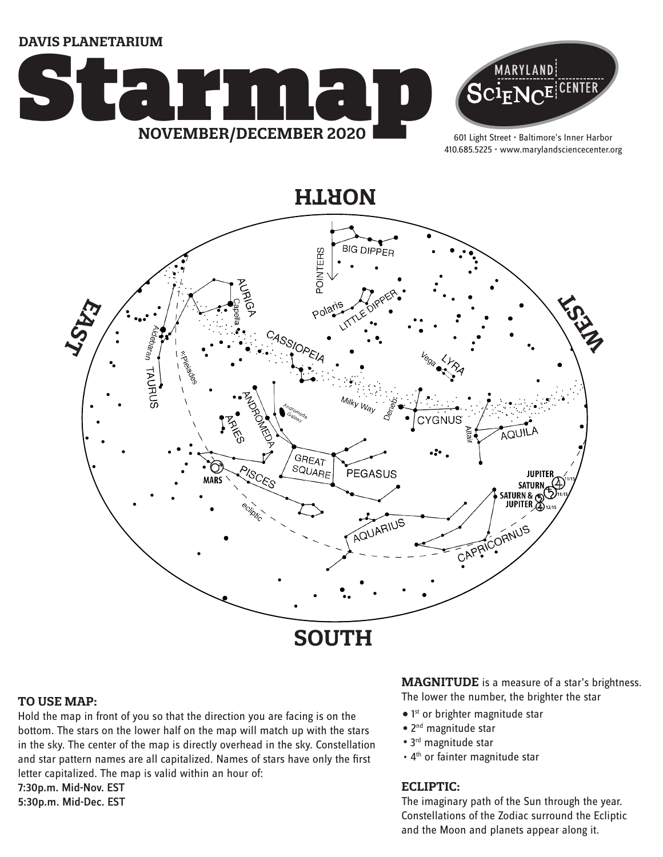**DAVIS PLANETARIUM**





601 Light Street • Baltimore's Inner Harbor 410.685.5225 • www.marylandsciencecenter.org



#### **TO USE MAP:**

Hold the map in front of you so that the direction you are facing is on the bottom. The stars on the lower half on the map will match up with the stars in the sky. The center of the map is directly overhead in the sky. Constellation and star pattern names are all capitalized. Names of stars have only the first letter capitalized. The map is valid within an hour of:

7:30p.m. Mid-Nov. EST 5:30p.m. Mid-Dec. EST

# **MAGNITUDE** is a measure of a star's brightness.

The lower the number, the brighter the star

- 1<sup>st</sup> or brighter magnitude star
- 2<sup>nd</sup> magnitude star
- 3<sup>rd</sup> magnitude star
- 4<sup>th</sup> or fainter magnitude star

### **ECLIPTIC:**

The imaginary path of the Sun through the year. Constellations of the Zodiac surround the Ecliptic and the Moon and planets appear along it.